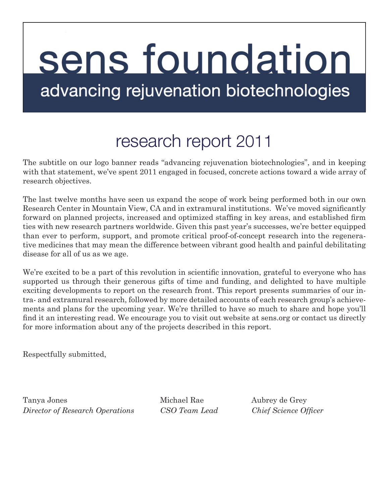# sens foundation advancing rejuvenation biotechnologies

# research report 2011

The subtitle on our logo banner reads "advancing rejuvenation biotechnologies", and in keeping with that statement, we've spent 2011 engaged in focused, concrete actions toward a wide array of research objectives.

The last twelve months have seen us expand the scope of work being performed both in our own Research Center in Mountain View, CA and in extramural institutions. We've moved significantly forward on planned projects, increased and optimized staffing in key areas, and established firm ties with new research partners worldwide. Given this past year's successes, we're better equipped than ever to perform, support, and promote critical proof-of-concept research into the regenerative medicines that may mean the difference between vibrant good health and painful debilitating disease for all of us as we age.

We're excited to be a part of this revolution in scientific innovation, grateful to everyone who has supported us through their generous gifts of time and funding, and delighted to have multiple exciting developments to report on the research front. This report presents summaries of our intra- and extramural research, followed by more detailed accounts of each research group's achievements and plans for the upcoming year. We're thrilled to have so much to share and hope you'll find it an interesting read. We encourage you to visit out website at sens.org or contact us directly for more information about any of the projects described in this report.

Respectfully submitted,

Tanya Jones Michael Rae Aubrey de Grey *Director of Research Operations CSO Team Lead Chief Science Officer*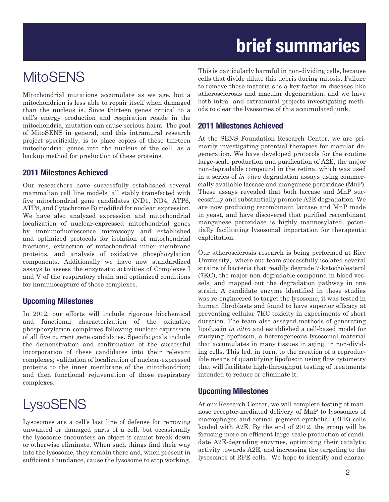# **brief summaries**

### **MitoSENS**

Mitochondrial mutations accumulate as we age, but a mitochondrion is less able to repair itself when damaged than the nucleus is. Since thirteen genes critical to a cell's energy production and respiration reside in the mitochondria, mutation can cause serious harm. The goal of MitoSENS in general, and this intramural research project specifically, is to place copies of these thirteen mitochondrial genes into the nucleus of the cell, as a backup method for production of these proteins.

#### **2011 Milestones Achieved**

Our researchers have successfully established several mammalian cell line models, all stably transfected with five mitochondrial gene candidates (ND1, ND4, ATP6, ATP8, and Cytochrome B) modified for nuclear expression. We have also analyzed expression and mitochondrial localization of nuclear-expressed mitochondrial genes by immunofluorescence microscopy and established and optimized protocols for isolation of mitochondrial fractions, extraction of mitochondrial inner membrane proteins, and analysis of oxidative phosphorylation components. Additionally we have now standardized assays to assess the enzymatic activities of Complexes I and V of the respiratory chain and optimized conditions for immunocapture of those complexes.

#### **Upcoming Milestones**

In 2012, our efforts will include rigorous biochemical and functional characterization of the oxidative phosphorylation complexes following nuclear expression of all five current gene candidates. Specific goals include the demonstration and confirmation of the successful incorporation of these candidates into their relevant complexes; validation of localization of nuclear-expressed proteins to the inner membrane of the mitochondrion; and then functional rejuvenation of those respiratory complexes.

### **LysoSENS**

Lysosomes are a cell's last line of defense for removing unwanted or damaged parts of a cell, but occasionally the lysosome encounters an object it cannot break down or otherwise eliminate. When such things find their way into the lysosome, they remain there and, when present in sufficient abundance, cause the lysosome to stop working.

This is particularly harmful in non-dividing cells, because cells that divide dilute this debris during mitosis. Failure to remove these materials is a key factor in diseases like atherosclerosis and macular degeneration, and we have both intra- and extramural projects investigating methods to clear the lysosomes of this accumulated junk.

#### **2011 Milestones Achieved**

At the SENS Foundation Research Center, we are primarily investigating potential therapies for macular degeneration. We have developed protocols for the routine large-scale production and purification of A2E, the major non-degradable compound in the retina, which was used in a series of *in vitro* degradation assays using commercially available laccase and manganese peroxidase (MnP). These assays revealed that both laccase and MnP successfully and substantially promote A2E degradation. We are now producing recombinant laccase and MnP made in yeast, and have discovered that purified recombinant manganese peroxidase is highly mannosylated, potentially facilitating lysosomal importation for therapeutic exploitation.

Our atherosclerosis research is being performed at Rice University, where our team successfully isolated several strains of bacteria that readily degrade 7-ketocholesterol (7KC), the major non-degradable compound in blood vessels, and mapped out the degradation pathway in one strain. A candidate enzyme identified in these studies was re-engineered to target the lysosome, it was tested in human fibroblasts and found to have superior efficacy at preventing cellular 7KC toxicity in experiments of short duration. The team also assayed methods of generating lipofuscin *in vitro* and established a cell-based model for studying lipofuscin, a heterogeneous lysosomal material that accumulates in many tissues in aging, in non-dividing cells. This led, in turn, to the creation of a reproducible means of quantifying lipofuscin using flow cytometry that will facilitate high-throughput testing of treatments intended to reduce or eliminate it.

#### **Upcoming Milestones**

At our Research Center, we will complete testing of mannose receptor-mediated delivery of MnP to lysosomes of macrophages and retinal pigment epithelial (RPE) cells loaded with A2E. By the end of 2012, the group will be focusing more on efficient large-scale production of candidate A2E-degrading enzymes, optimizing their catalytic activity towards A2E, and increasing the targeting to the lysosomes of RPE cells. We hope to identify and charac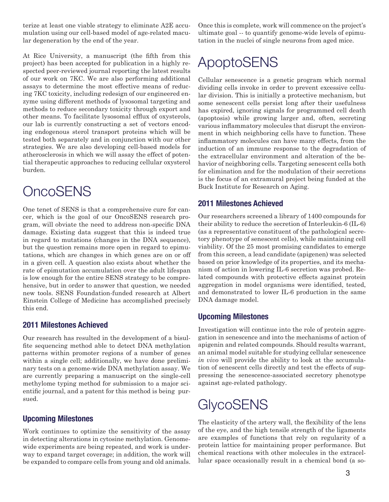terize at least one viable strategy to eliminate A2E accumulation using our cell-based model of age-related macular degeneration by the end of the year.

At Rice University, a manuscript (the fifth from this project) has been accepted for publication in a highly respected peer-reviewed journal reporting the latest results of our work on 7KC. We are also performing additional assays to determine the most effective means of reducing 7KC toxicity, including redesign of our engineered enzyme using different methods of lysosomal targeting and methods to reduce secondary toxicity through export and other means. To facilitate lysosomal efflux of oxysterols, our lab is currently constructing a set of vectors encoding endogenous sterol transport proteins which will be tested both separately and in conjunction with our other strategies. We are also developing cell-based models for atherosclerosis in which we will assay the effect of potential therapeutic approaches to reducing cellular oxysterol burden.

### **OncoSENS**

One tenet of SENS is that a comprehensive cure for cancer, which is the goal of our OncoSENS research program, will obviate the need to address non-specific DNA damage. Existing data suggest that this is indeed true in regard to mutations (changes in the DNA sequence), but the question remains more open in regard to epimutations, which are changes in which genes are on or off in a given cell. A question also exists about whether the rate of epimutation accumulation over the adult lifespan is low enough for the entire SENS strategy to be comprehensive, but in order to answer that question, we needed new tools. SENS Foundation-funded research at Albert Einstein College of Medicine has accomplished precisely this end.

#### **2011 Milestones Achieved**

Our research has resulted in the development of a bisulfite sequencing method able to detect DNA methylation patterns within promoter regions of a number of genes within a single cell; additionally, we have done preliminary tests on a genome-wide DNA methylation assay. We are currently preparing a manuscript on the single-cell methylome typing method for submission to a major scientific journal, and a patent for this method is being pursued.

#### **Upcoming Milestones**

Work continues to optimize the sensitivity of the assay in detecting alterations in cytosine methylation. Genomewide experiments are being repeated, and work is underway to expand target coverage; in addition, the work will be expanded to compare cells from young and old animals.

Once this is complete, work will commence on the project's ultimate goal -- to quantify genome-wide levels of epimutation in the nuclei of single neurons from aged mice.

### ApoptoSENS

Cellular senescence is a genetic program which normal dividing cells invoke in order to prevent excessive cellular division. This is initially a protective mechanism, but some senescent cells persist long after their usefulness has expired, ignoring signals for programmed cell death (apoptosis) while growing larger and, often, secreting various inflammatory molecules that disrupt the environment in which neighboring cells have to function. These inflammatory molecules can have many effects, from the induction of an immune response to the degradation of the extracellular environment and alteration of the behavior of neighboring cells. Targeting senescent cells both for elimination and for the modulation of their secretions is the focus of an extramural project being funded at the Buck Institute for Research on Aging.

#### **2011 Milestones Achieved**

Our researchers screened a library of 1400 compounds for their ability to reduce the secretion of Interleukin-6 (IL-6) (as a representative constituent of the pathological secretory phenotype of senescent cells), while maintaining cell viability. Of the 25 most promising candidates to emerge from this screen, a lead candidate (apigenen) was selected based on prior knowledge of its properties, and its mechanism of action in lowering IL-6 secretion was probed. Related compounds with protective effects against protein aggregation in model organisms were identified, tested, and demonstrated to lower IL-6 production in the same DNA damage model.

#### **Upcoming Milestones**

Investigation will continue into the role of protein aggregation in senescence and into the mechanisms of action of apigenin and related compounds. Should results warrant, an animal model suitable for studying cellular senescence *in vivo* will provide the ability to look at the accumulation of senescent cells directly and test the effects of suppressing the senescence-associated secretory phenotype against age-related pathology.

### **GlycoSENS**

The elasticity of the artery wall, the flexibility of the lens of the eye, and the high tensile strength of the ligaments are examples of functions that rely on regularity of a protein lattice for maintaining proper performance. But chemical reactions with other molecules in the extracellular space occasionally result in a chemical bond (a so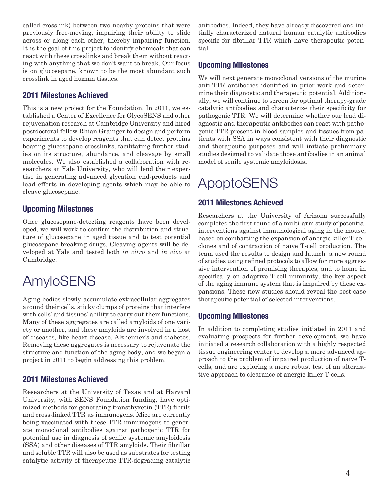called crosslink) between two nearby proteins that were previously free-moving, impairing their ability to slide across or along each other, thereby impairing function. It is the goal of this project to identify chemicals that can react with these crosslinks and break them without reacting with anything that we don't want to break. Our focus is on glucosepane, known to be the most abundant such crosslink in aged human tissues.

#### **2011 Milestones Achieved**

This is a new project for the Foundation. In 2011, we established a Center of Excellence for GlycoSENS and other rejuvenation research at Cambridge University and hired postdoctoral fellow Rhian Grainger to design and perform experiments to develop reagents that can detect proteins bearing glucosepane crosslinks, facilitating further studies on its structure, abundance, and cleavage by small molecules. We also established a collaboration with researchers at Yale University, who will lend their expertise in generating advanced glycation end-products and lead efforts in developing agents which may be able to cleave glucosepane.

#### **Upcoming Milestones**

Once glucosepane-detecting reagents have been developed, we will work to confirm the distribution and structure of glucosepane in aged tissue and to test potential glucosepane-breaking drugs. Cleaving agents will be developed at Yale and tested both *in vitro* and *in vivo* at Cambridge.

### AmyloSENS

Aging bodies slowly accumulate extracellular aggregates around their cells, sticky clumps of proteins that interfere with cells' and tissues' ability to carry out their functions. Many of these aggregates are called amyloids of one variety or another, and these amyloids are involved in a host of diseases, like heart disease, Alzheimer's and diabetes. Removing these aggregates is necessary to rejuvenate the structure and function of the aging body, and we began a project in 2011 to begin addressing this problem.

#### **2011 Milestones Achieved**

Researchers at the University of Texas and at Harvard University, with SENS Foundation funding, have optimized methods for generating transthyretin (TTR) fibrils and cross-linked TTR as immunogens. Mice are currently being vaccinated with these TTR immunogens to generate monoclonal antibodies against pathogenic TTR for potential use in diagnosis of senile systemic amyloidosis (SSA) and other diseases of TTR amyloids. Their fibrillar and soluble TTR will also be used as substrates for testing catalytic activity of therapeutic TTR-degrading catalytic antibodies. Indeed, they have already discovered and initially characterized natural human catalytic antibodies specific for fibrillar TTR which have therapeutic potential.

#### **Upcoming Milestones**

We will next generate monoclonal versions of the murine anti-TTR antibodies identified in prior work and determine their diagnostic and therapeutic potential. Additionally, we will continue to screen for optimal therapy-grade catalytic antibodies and characterize their specificity for pathogenic TTR. We will determine whether our lead diagnostic and therapeutic antibodies can react with pathogenic TTR present in blood samples and tissues from patients with SSA in ways consistent with their diagnostic and therapeutic purposes and will initiate preliminary studies designed to validate those antibodies in an animal model of senile systemic amyloidosis.

### ApoptoSENS

#### **2011 Milestones Achieved**

Researchers at the University of Arizona successfully completed the first round of a multi-arm study of potential interventions against immunological aging in the mouse, based on combatting the expansion of anergic killer T-cell clones and of contraction of naïve T-cell production. The team used the results to design and launch a new round of studies using refined protocols to allow for more aggressive intervention of promising therapies, and to home in specifically on adaptive T-cell immunity, the key aspect of the aging immune system that is impaired by these expansions. These new studies should reveal the best-case therapeutic potential of selected interventions.

#### **Upcoming Milestones**

In addition to completing studies initiated in 2011 and evaluating prospects for further development, we have initiated a research collaboration with a highly respected tissue engineering center to develop a more advanced approach to the problem of impaired production of naïve Tcells, and are exploring a more robust test of an alternative approach to clearance of anergic killer T-cells.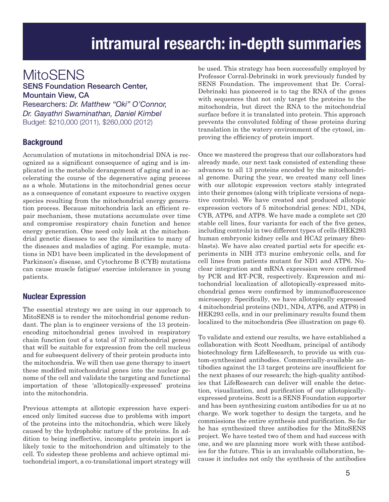### **intramural research: in-depth summaries**

### **MitoSENS**

#### SENS Foundation Research Center, Mountain View, CA

Researchers: *Dr. Matthew "Oki" O'Connor, Dr. Gayathri Swaminathan, Daniel Kimbel* Budget: \$210,000 (2011), \$260,000 (2012)

#### **Background**

Accumulation of mutations in mitochondrial DNA is recognized as a significant consequence of aging and is implicated in the metabolic derangement of aging and in accelerating the course of the degenerative aging process as a whole. Mutations in the mitochondrial genes occur as a consequence of constant exposure to reactive oxygen species resulting from the mitochondrial energy generation process. Because mitochondria lack an efficient repair mechanism, these mutations accumulate over time and compromise respiratory chain function and hence energy generation. One need only look at the mitochondrial genetic diseases to see the similarities to many of the diseases and maladies of aging. For example, mutations in ND1 have been implicated in the development of Parkinson's disease, and Cytochrome B (CYB) mutations can cause muscle fatigue/ exercise intolerance in young patients.

#### **Nuclear Expression**

The essential strategy we are using in our approach to MitoSENS is to render the mitochondrial genome redundant. The plan is to engineer versions of the 13 proteinencoding mitochondrial genes involved in respiratory chain function (out of a total of 37 mitochondrial genes) that will be suitable for expression from the cell nucleus and for subsequent delivery of their protein products into the mitochondria. We will then use gene therapy to insert these modified mitochondrial genes into the nuclear genome of the cell and validate the targeting and functional importation of these 'allotopically-expressed' proteins into the mitochondria.

Previous attempts at allotopic expression have experienced only limited success due to problems with import of the proteins into the mitochondria, which were likely caused by the hydrophobic nature of the proteins. In addition to being ineffective, incomplete protein import is likely toxic to the mitochondrion and ultimately to the cell. To sidestep these problems and achieve optimal mitochondrial import, a co-translational import strategy will be used. This strategy has been successfully employed by Professor Corral-Debrinski in work previously funded by SENS Foundation. The improvement that Dr. Corral-Debrinski has pioneered is to tag the RNA of the genes with sequences that not only target the proteins to the mitochondria, but direct the RNA to the mitochondrial surface before it is translated into protein. This approach prevents the convoluted folding of these proteins during translation in the watery environment of the cytosol, improving the efficiency of protein import.

Once we mastered the progress that our collaborators had already made, our next task consisted of extending these advances to all 13 proteins encoded by the mitochondrial genome. During the year, we created many cell lines with our allotopic expression vectors stably integrated into their genomes (along with triplicate versions of negative controls). We have created and produced allotopic expression vectors of 5 mitochondrial genes: ND1, ND4, CYB, ATP6, and ATP8. We have made a complete set (20 stable cell lines, four variants for each of the five genes, including controls) in two different types of cells (HEK293 human embryonic kidney cells and HCA2 primary fibroblasts). We have also created partial sets for specific experiments in NIH 3T3 murine embryonic cells, and for cell lines from patients mutant for ND1 and ATP6. Nuclear integration and mRNA expression were confirmed by PCR and RT-PCR, respectively. Expression and mitochondrial localization of allotopically-expressed mitochondrial genes were confirmed by immunofluorescence microscopy. Specifically, we have allotopically expressed 4 mitochondrial proteins (ND1, ND4, ATP6, and ATP8) in HEK293 cells, and in our preliminary results found them localized to the mitochondria (See illustration on page 6).

To validate and extend our results, we have established a collaboration with Scott Needham, principal of antibody biotechnology firm LifeResearch, to provide us with custom-synthesized antibodies. Commercially-available antibodies against the 13 target proteins are insufficient for the next phases of our research; the high-quality antibodies that LifeResearch can deliver will enable the detection, visualization, and purification of our allotopicallyexpressed proteins. Scott is a SENS Foundation supporter and has been synthesizing custom antibodies for us at no charge. We work together to design the targets, and he commissions the entire synthesis and purification. So far he has synthesized three antibodies for the MitoSENS project. We have tested two of them and had success with one, and we are planning more work with these antibodies for the future. This is an invaluable collaboration, because it includes not only the synthesis of the antibodies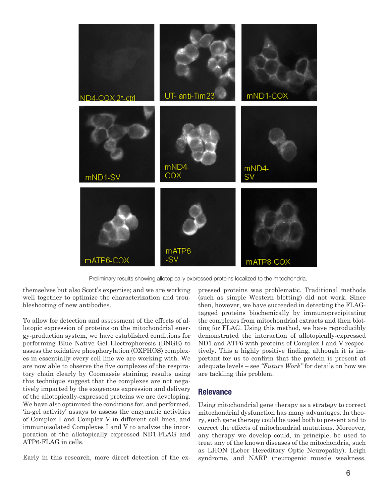

Preliminary results showing allotopically expressed proteins localized to the mitochondria.

themselves but also Scott's expertise; and we are working well together to optimize the characterization and troubleshooting of new antibodies.

To allow for detection and assessment of the effects of allotopic expression of proteins on the mitochondrial energy-production system, we have established conditions for performing Blue Native Gel Electrophoresis (BNGE) to assess the oxidative phosphorylation (OXPHOS) complexes in essentially every cell line we are working with. We are now able to observe the five complexes of the respiratory chain clearly by Coomassie staining; results using this technique suggest that the complexes are not negatively impacted by the exogenous expression and delivery of the allotopically-expressed proteins we are developing. We have also optimized the conditions for, and performed, 'in-gel activity' assays to assess the enzymatic activities of Complex I and Complex V in different cell lines, and immunoisolated Complexes I and V to analyze the incorporation of the allotopically expressed ND1-FLAG and ATP6-FLAG in cells.

Early in this research, more direct detection of the ex-

pressed proteins was problematic. Traditional methods (such as simple Western blotting) did not work. Since then, however, we have succeeded in detecting the FLAGtagged proteins biochemically by immunoprecipitating the complexes from mitochondrial extracts and then blotting for FLAG. Using this method, we have reproducibly demonstrated the interaction of allotopically-expressed ND1 and ATP6 with proteins of Complex I and V respectively. This a highly positive finding, although it is important for us to confirm that the protein is present at adequate levels – see *"Future Work"* for details on how we are tackling this problem.

#### **Relevance**

Using mitochondrial gene therapy as a strategy to correct mitochondrial dysfunction has many advantages. In theory, such gene therapy could be used both to prevent and to correct the effects of mitochondrial mutations. Moreover, any therapy we develop could, in principle, be used to treat any of the known diseases of the mitochondria, such as LHON (Leber Hereditary Optic Neuropathy), Leigh syndrome, and NARP (neurogenic muscle weakness,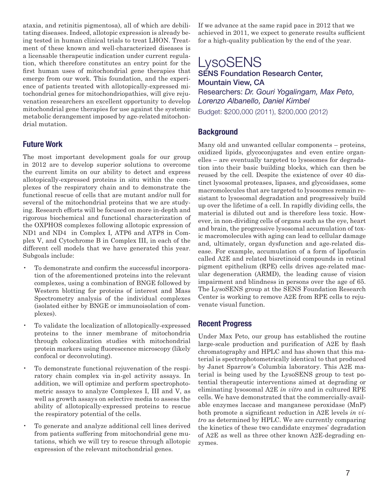ataxia, and retinitis pigmentosa), all of which are debilitating diseases. Indeed, allotopic expression is already being tested in human clinical trials to treat LHON. Treatment of these known and well-characterized diseases is a licensable therapeutic indication under current regulation, which therefore constitutes an entry point for the first human uses of mitochondrial gene therapies that emerge from our work. This foundation, and the experience of patients treated with allotopically-expressed mitochondrial genes for mitochondriopathies, will give rejuvenation researchers an excellent opportunity to develop mitochondrial gene therapies for use against the systemic metabolic derangement imposed by age-related mitochondrial mutation.

#### **Future Work**

The most important development goals for our group in 2012 are to develop superior solutions to overcome the current limits on our ability to detect and express allotopically-expressed proteins in situ within the complexes of the respiratory chain and to demonstrate the functional rescue of cells that are mutant and/or null for several of the mitochondrial proteins that we are studying. Research efforts will be focused on more in-depth and rigorous biochemical and functional characterization of the OXPHOS complexes following allotopic expression of ND1 and ND4 in Complex I, ATP6 and ATP8 in Complex V, and Cytochrome B in Complex III, in each of the different cell models that we have generated this year. Subgoals include:

- To demonstrate and confirm the successful incorporation of the aforementioned proteins into the relevant complexes, using a combination of BNGE followed by Western blotting for proteins of interest and Mass Spectrometry analysis of the individual complexes (isolated either by BNGE or immunoisolation of complexes).
- To validate the localization of allotopically-expressed proteins to the inner membrane of mitochondria through colocalization studies with mitochondrial protein markers using fluorescence microscopy (likely confocal or deconvoluting).
- To demonstrate functional rejuvenation of the respiratory chain complex via in-gel activity assays. In addition, we will optimize and perform spectrophotometric assays to analyze Complexes I, III and V, as well as growth assays on selective media to assess the ability of allotopically-expressed proteins to rescue the respiratory potential of the cells.
- To generate and analyze additional cell lines derived from patients suffering from mitochondrial gene mutations, which we will try to rescue through allotopic expression of the relevant mitochondrial genes.

If we advance at the same rapid pace in 2012 that we achieved in 2011, we expect to generate results sufficient for a high-quality publication by the end of the year.

#### **LysoSENS** SENS Foundation Research Center, Mountain View, CA Researchers: *Dr. Gouri Yogalingam, Max Peto, Lorenzo Albanello, Daniel Kimbel* Budget: \$200,000 (2011), \$200,000 (2012)

#### **Background**

Many old and unwanted cellular components – proteins, oxidized lipids, glycoconjugates and even entire organelles – are eventually targeted to lysosomes for degradation into their basic building blocks, which can then be reused by the cell. Despite the existence of over 40 distinct lysosomal proteases, lipases, and glycosidases, some macromolecules that are targeted to lysosomes remain resistant to lysosomal degradation and progressively build up over the lifetime of a cell. In rapidly dividing cells, the material is diluted out and is therefore less toxic. However, in non-dividing cells of organs such as the eye, heart and brain, the progressive lysosomal accumulation of toxic macromolecules with aging can lead to cellular damage and, ultimately, organ dysfunction and age-related disease. For example, accumulation of a form of lipofuscin called A2E and related bisretinoid compounds in retinal pigment epithelium (RPE) cells drives age-related macular degeneration (ARMD), the leading cause of vision impairment and blindness in persons over the age of 65. The LysoSENS group at the SENS Foundation Research Center is working to remove A2E from RPE cells to rejuvenate visual function.

#### **Recent Progress**

Under Max Peto, our group has established the routine large-scale production and purification of A2E by flash chromatography and HPLC and has shown that this material is spectrophotometrically identical to that produced by Janet Sparrow's Columbia laboratory. This A2E material is being used by the LysoSENS group to test potential therapeutic interventions aimed at degrading or eliminating lysosomal A2E *in vitro* and in cultured RPE cells. We have demonstrated that the commercially-available enzymes laccase and manganese peroxidase (MnP) both promote a significant reduction in A2E levels *in vitro* as determined by HPLC. We are currently comparing the kinetics of these two candidate enzymes' degradation of A2E as well as three other known A2E-degrading enzymes.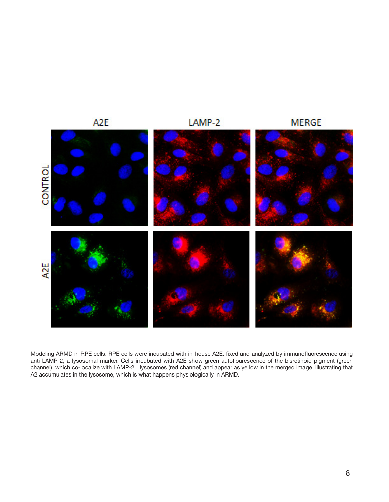

Modeling ARMD in RPE cells. RPE cells were incubated with in-house A2E, fixed and analyzed by immunofluorescence using anti-LAMP-2, a lysosomal marker. Cells incubated with A2E show green autoflourescence of the bisretinoid pigment (green channel), which co-localize with LAMP-2+ lysosomes (red channel) and appear as yellow in the merged image, illustrating that A2 accumulates in the lysosome, which is what happens physiologically in ARMD.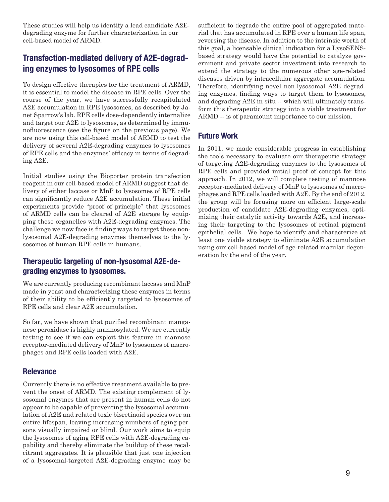These studies will help us identify a lead candidate A2Edegrading enzyme for further characterization in our cell-based model of ARMD.

#### **Transfection-mediated delivery of A2E-degrading enzymes to lysosomes of RPE cells**

To design effective therapies for the treatment of ARMD, it is essential to model the disease in RPE cells. Over the course of the year, we have successfully recapitulated A2E accumulation in RPE lysosomes, as described by Janet Sparrow's lab. RPE cells dose-dependently internalize and target our A2E to lysosomes, as determined by immunofluorescence (see the figure on the previous page). We are now using this cell-based model of ARMD to test the delivery of several A2E-degrading enzymes to lysosomes of RPE cells and the enzymes' efficacy in terms of degrading A2E.

Initial studies using the Bioporter protein transfection reagent in our cell-based model of ARMD suggest that delivery of either laccase or MnP to lysosomes of RPE cells can significantly reduce A2E accumulation. These initial experiments provide "proof of principle" that lysosomes of ARMD cells can be cleared of A2E storage by equipping these organelles with A2E-degrading enzymes. The challenge we now face is finding ways to target these nonlysosomal A2E-degrading enzymes themselves to the lysosomes of human RPE cells in humans.

#### **Therapeutic targeting of non-lysosomal A2E-degrading enzymes to lysosomes.**

We are currently producing recombinant laccase and MnP made in yeast and characterizing these enzymes in terms of their ability to be efficiently targeted to lysosomes of RPE cells and clear A2E accumulation.

So far, we have shown that purified recombinant manganese peroxidase is highly mannosylated. We are currently testing to see if we can exploit this feature in mannose receptor-mediated delivery of MnP to lysosomes of macrophages and RPE cells loaded with A2E.

#### **Relevance**

Currently there is no effective treatment available to prevent the onset of ARMD. The existing complement of lysosomal enzymes that are present in human cells do not appear to be capable of preventing the lysosomal accumulation of A2E and related toxic bisretinoid species over an entire lifespan, leaving increasing numbers of aging persons visually impaired or blind. Our work aims to equip the lysosomes of aging RPE cells with A2E-degrading capability and thereby eliminate the buildup of these recalcitrant aggregates. It is plausible that just one injection of a lysosomal-targeted A2E-degrading enzyme may be

sufficient to degrade the entire pool of aggregated material that has accumulated in RPE over a human life span, reversing the disease. In addition to the intrinsic worth of this goal, a licensable clinical indication for a LysoSENSbased strategy would have the potential to catalyze government and private sector investment into research to extend the strategy to the numerous other age-related diseases driven by intracellular aggregate accumulation. Therefore, identifying novel non-lysosomal A2E degrading enzymes, finding ways to target them to lysosomes, and degrading A2E in situ -- which will ultimately transform this therapeutic strategy into a viable treatment for ARMD -- is of paramount importance to our mission.

#### **Future Work**

In 2011, we made considerable progress in establishing the tools necessary to evaluate our therapeutic strategy of targeting A2E-degrading enzymes to the lysosomes of RPE cells and provided initial proof of concept for this approach. In 2012, we will complete testing of mannose receptor-mediated delivery of MnP to lysosomes of macrophages and RPE cells loaded with A2E. By the end of 2012, the group will be focusing more on efficient large-scale production of candidate A2E-degrading enzymes, optimizing their catalytic activity towards A2E, and increasing their targeting to the lysosomes of retinal pigment epithelial cells. We hope to identify and characterize at least one viable strategy to eliminate A2E accumulation using our cell-based model of age-related macular degeneration by the end of the year.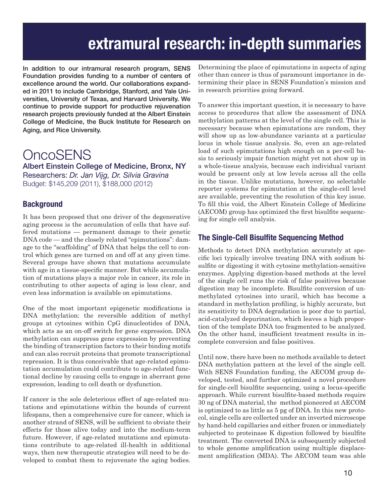### **extramural research: in-depth summaries**

In addition to our intramural research program, SENS Foundation provides funding to a number of centers of excellence around the world. Our collaborations expanded in 2011 to include Cambridge, Stanford, and Yale Universities, University of Texas, and Harvard University. We continue to provide support for productive rejuvenation research projects previously funded at the Albert Einstein College of Medicine, the Buck Institute for Research on Aging, and Rice University.

### **OncoSENS**

Albert Einstein College of Medicine, Bronx, NY Researchers: *Dr. Jan Vijg, Dr. Silvia Gravina* Budget: \$145,209 (2011), \$188,000 (2012)

#### **Background**

It has been proposed that one driver of the degenerative aging process is the accumulation of cells that have suffered mutations — permanent damage to their genetic DNA code — and the closely related "epimutations": damage to the "scaffolding" of DNA that helps the cell to control which genes are turned on and off at any given time. Several groups have shown that mutations accumulate with age in a tissue-specific manner. But while accumulation of mutations plays a major role in cancer, its role in contributing to other aspects of aging is less clear, and even less information is available on epimutations.

One of the most important epigenetic modifications is DNA methylation: the reversible addition of methyl groups at cytosines within CpG dinucleotides of DNA, which acts as an on-off switch for gene expression. DNA methylation can suppress gene expression by preventing the binding of transcription factors to their binding motifs and can also recruit proteins that promote transcriptional repression. It is thus conceivable that age-related epimutation accumulation could contribute to age-related functional decline by causing cells to engage in aberrant gene expression, leading to cell death or dysfunction.

If cancer is the sole deleterious effect of age-related mutations and epimutations within the bounds of current lifespans, then a comprehensive cure for cancer, which is another strand of SENS, will be sufficient to obviate their effects for those alive today and into the medium-term future. However, if age-related mutations and epimutations contribute to age-related ill-health in additional ways, then new therapeutic strategies will need to be developed to combat them to rejuvenate the aging bodies.

Determining the place of epimutations in aspects of aging other than cancer is thus of paramount importance in determining their place in SENS Foundation's mission and in research priorities going forward.

To answer this important question, it is necessary to have access to procedures that allow the assessment of DNA methylation patterns at the level of the single cell. This is necessary because when epimutations are random, they will show up as low-abundance variants at a particular locus in whole tissue analysis. So, even an age-related load of such epimutations high enough on a per-cell basis to seriously impair function might yet not show up in a whole-tissue analysis, because each individual variant would be present only at low levels across all the cells in the tissue. Unlike mutations, however, no selectable reporter systems for epimutation at the single-cell level are available, preventing the resolution of this key issue. To fill this void, the Albert Einstein College of Medicine (AECOM) group has optimized the first bisulfite sequencing for single cell analysis.

#### **The Single-Cell Bisulfite Sequencing Method**

Methods to detect DNA methylation accurately at specific loci typically involve treating DNA with sodium bisulfite or digesting it with cytosine methylation-sensitive enzymes. Applying digestion-based methods at the level of the single cell runs the risk of false positives because digestion may be incomplete. Bisulfite conversion of unmethylated cytosines into uracil, which has become a standard in methylation profiling, is highly accurate, but its sensitivity to DNA degradation is poor due to partial, acid-catalyzed depurination, which leaves a high proportion of the template DNA too fragmented to be analyzed. On the other hand, insufficient treatment results in incomplete conversion and false positives.

Until now, there have been no methods available to detect DNA methylation pattern at the level of the single cell. With SENS Foundation funding, the AECOM group developed, tested, and further optimized a novel procedure for single-cell bisulfite sequencing, using a locus-specific approach. While current bisulfite-based methods require 30 ng of DNA material, the method pioneered at AECOM is optimized to as little as 5 pg of DNA. In this new protocol, single cells are collected under an inverted microscope by hand-held capillaries and either frozen or immediately subjected to proteinase K digestion followed by bisulfite treatment. The converted DNA is subsequently subjected to whole genome amplification using multiple displacement amplification (MDA). The AECOM team was able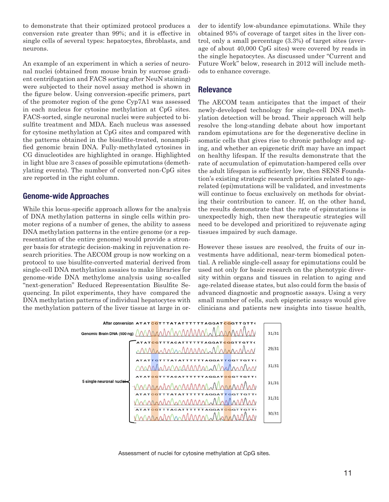to demonstrate that their optimized protocol produces a conversion rate greater than 99%; and it is effective in single cells of several types: hepatocytes, fibroblasts, and neurons.

An example of an experiment in which a series of neuronal nuclei (obtained from mouse brain by sucrose gradient centrifugation and FACS sorting after NeuN staining) were subjected to their novel assay method is shown in the figure below. Using conversion-specific primers, part of the promoter region of the gene Cyp7A1 was assessed in each nucleus for cytosine methylation at CpG sites. FACS-sorted, single neuronal nuclei were subjected to bisulfite treatment and MDA. Each nucleus was assessed for cytosine methylation at CpG sites and compared with the patterns obtained in the bisulfite-treated, nonamplified genomic brain DNA. Fully-methylated cytosines in CG dinucleotides are highlighted in orange. Highlighted in light blue are 3 cases of possible epimutations (demethylating events). The number of converted non-CpG sites are reported in the right column.

#### **Genome-wide Approaches**

While this locus-specific approach allows for the analysis of DNA methylation patterns in single cells within promoter regions of a number of genes, the ability to assess DNA methylation patterns in the entire genome (or a representation of the entire genome) would provide a stronger basis for strategic decision-making in rejuvenation research priorities. The AECOM group is now working on a protocol to use bisulfite-converted material derived from single-cell DNA methylation assaies to make libraries for genome-wide DNA methylome analysis using so-called "next-generation" Reduced Representation Bisulfite Sequencing. In pilot experiments, they have compared the DNA methylation patterns of individual hepatocytes with the methylation pattern of the liver tissue at large in order to identify low-abundance epimutations. While they obtained 95% of coverage of target sites in the liver control, only a small percentage (3.3%) of target sites (average of about 40,000 CpG sites) were covered by reads in the single hepatocytes. As discussed under "Current and Future Work" below, research in 2012 will include methods to enhance coverage.

#### **Relevance**

The AECOM team anticipates that the impact of their newly-developed technology for single-cell DNA methylation detection will be broad. Their approach will help resolve the long-standing debate about how important random epimutations are for the degenerative decline in somatic cells that gives rise to chronic pathology and aging, and whether an epigenetic drift may have an impact on healthy lifespan. If the results demonstrate that the rate of accumulation of epimutation-hampered cells over the adult lifespan is sufficiently low, then SENS Foundation's existing strategic research priorities related to agerelated (epi)mutations will be validated, and investments will continue to focus exclusively on methods for obviating their contribution to cancer. If, on the other hand, the results demonstrate that the rate of epimutations is unexpectedly high, then new therapeutic strategies will need to be developed and prioritized to rejuvenate aging tissues impaired by such damage.

However these issues are resolved, the fruits of our investments have additional, near-term biomedical potential. A reliable single-cell assay for epimutations could be used not only for basic research on the phenotypic diversity within organs and tissues in relation to aging and age-related disease states, but also could form the basis of advanced diagnostic and prognostic assays. Using a very small number of cells, such epigenetic assays would give clinicians and patients new insights into tissue health,



Assessment of nuclei for cytosine methylation at CpG sites.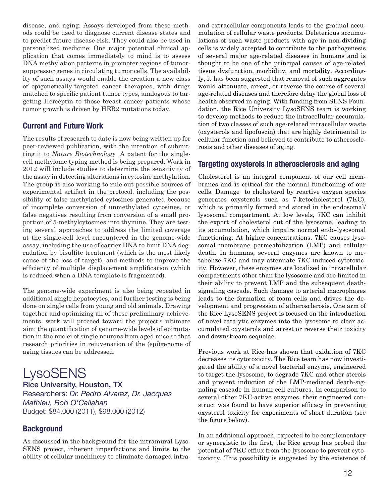disease, and aging. Assays developed from these methods could be used to diagnose current disease states and to predict future disease risk. They could also be used in personalized medicine: One major potential clinical application that comes immediately to mind is to assess DNA methylation patterns in promoter regions of tumorsuppressor genes in circulating tumor cells. The availability of such assays would enable the creation a new class of epigenetically-targeted cancer therapies, with drugs matched to specific patient tumor types, analogous to targeting Herceptin to those breast cancer patients whose tumor growth is driven by HER2 mutations today.

#### **Current and Future Work**

The results of research to date is now being written up for peer-reviewed publication, with the intention of submitting it to *Nature Biotechnology* A patent for the singlecell methylome typing method is being prepared. Work in 2012 will include studies to determine the sensitivity of the assay in detecting alterations in cytosine methylation. The group is also working to rule out possible sources of experimental artifact in the protocol, including the possibility of false methylated cytosines generated because of incomplete conversion of unmethylated cytosines, or false negatives resulting from conversion of a small proportion of 5-methylcytosines into thymine. They are testing several approaches to address the limited coverage at the single-cell level encountered in the genome-wide assay, including the use of carrier DNA to limit DNA degradation by bisulfite treatment (which is the most likely cause of the loss of target), and methods to improve the efficiency of multiple displacement amplification (which is reduced when a DNA template is fragmented).

The genome-wide experiment is also being repeated in additional single hepatocytes, and further testing is being done on single cells from young and old animals. Drawing together and optimizing all of these preliminary achievements, work will proceed toward the project's ultimate aim: the quantification of genome-wide levels of epimutation in the nuclei of single neurons from aged mice so that research priorities in rejuvenation of the (epi)genome of aging tissues can be addressed.

**LysoSENS** Rice University, Houston, TX Researchers: *Dr. Pedro Alvarez, Dr. Jacques Mathieu, Rob O'Callahan* Budget: \$84,000 (2011), \$98,000 (2012)

#### **Background**

As discussed in the background for the intramural Lyso-SENS project, inherent imperfections and limits to the ability of cellular machinery to eliminate damaged intra-

and extracellular components leads to the gradual accumulation of cellular waste products. Deleterious accumulations of such waste products with age in non-dividing cells is widely accepted to contribute to the pathogenesis of several major age-related diseases in humans and is thought to be one of the principal causes of age-related tissue dysfunction, morbidity, and mortality. Accordingly, it has been suggested that removal of such aggregates would attenuate, arrest, or reverse the course of several age-related diseases and therefore delay the global loss of health observed in aging. With funding from SENS Foundation, the Rice University LysoSENS team is working to develop methods to reduce the intracellular accumulation of two classes of such age-related intracellular waste (oxysterols and lipofuscin) that are highly detrimental to cellular function and believed to contribute to atherosclerosis and other diseases of aging.

#### **Targeting oxysterols in atherosclerosis and aging**

Cholesterol is an integral component of our cell membranes and is critical for the normal functioning of our cells. Damage to cholesterol by reactive oxygen species generates oxysterols such as 7-ketocholesterol (7KC), which is primarily formed and stored in the endosomal/ lysosomal compartment. At low levels, 7KC can inhibit the export of cholesterol out of the lysosome, leading to its accumulation, which impairs normal endo-lysosomal functioning. At higher concentrations, 7KC causes lysosomal membrane permeabilization (LMP) and cellular death. In humans, several enzymes are known to metabolize 7KC and may attenuate 7KC-induced cytotoxicity. However, these enzymes are localized in intracellular compartments other than the lysosome and are limited in their ability to prevent LMP and the subsequent deathsignaling cascade. Such damage to arterial macrophages leads to the formation of foam cells and drives the development and progression of atherosclerosis. One arm of the Rice LysoSENS project is focused on the introduction of novel catalytic enzymes into the lysosome to clear accumulated oxysterols and arrest or reverse their toxicity and downstream sequelae.

Previous work at Rice has shown that oxidation of 7KC decreases its cytotoxicity. The Rice team has now investigated the ability of a novel bacterial enzyme, engineered to target the lysosome, to degrade 7KC and other sterols and prevent induction of the LMP-mediated death-signaling cascade in human cell cultures. In comparison to several other 7KC-active enzymes, their engineered construct was found to have superior efficacy in preventing oxysterol toxicity for experiments of short duration (see the figure below).

In an additional approach, expected to be complementary or synergistic to the first, the Rice group has probed the potential of 7KC efflux from the lysosome to prevent cytotoxicity. This possibility is suggested by the existence of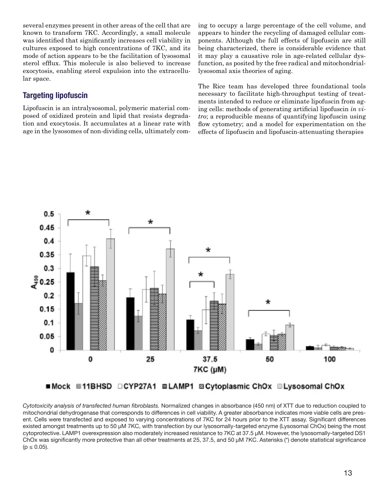several enzymes present in other areas of the cell that are known to transform 7KC. Accordingly, a small molecule was identified that significantly increases cell viability in cultures exposed to high concentrations of 7KC, and its mode of action appears to be the facilitation of lysosomal sterol efflux. This molecule is also believed to increase exocytosis, enabling sterol expulsion into the extracellular space.

#### **Targeting lipofuscin**

Lipofuscin is an intralysosomal, polymeric material composed of oxidized protein and lipid that resists degradation and exocytosis. It accumulates at a linear rate with age in the lysosomes of non-dividing cells, ultimately coming to occupy a large percentage of the cell volume, and appears to hinder the recycling of damaged cellular components. Although the full effects of lipofuscin are still being characterized, there is considerable evidence that it may play a causative role in age-related cellular dysfunction, as posited by the free radical and mitochondriallysosomal axis theories of aging.

The Rice team has developed three foundational tools necessary to facilitate high-throughput testing of treatments intended to reduce or eliminate lipofuscin from aging cells: methods of generating artificial lipofuscin *in vitro*; a reproducible means of quantifying lipofuscin using flow cytometry; and a model for experimentation on the effects of lipofuscin and lipofuscin-attenuating therapies



*Cytotoxicity analysis of transfected human fibroblasts.* Normalized changes in absorbance (450 nm) of XTT due to reduction coupled to mitochondrial dehydrogenase that corresponds to differences in cell viability. A greater absorbance indicates more viable cells are present. Cells were transfected and exposed to varying concentrations of 7KC for 24 hours prior to the XTT assay. Significant differences existed amongst treatments up to 50 µM 7KC, with transfection by our lysosomally-targeted enzyme (Lysosomal ChOx) being the most cytoprotective. LAMP1 overexpression also moderately increased resistance to 7KC at 37.5 µM. However, the lysosomally-targeted DS1 ChOx was significantly more protective than all other treatments at 25, 37.5, and 50 µM 7KC. Asterisks (\*) denote statistical significance  $(p \le 0.05)$ .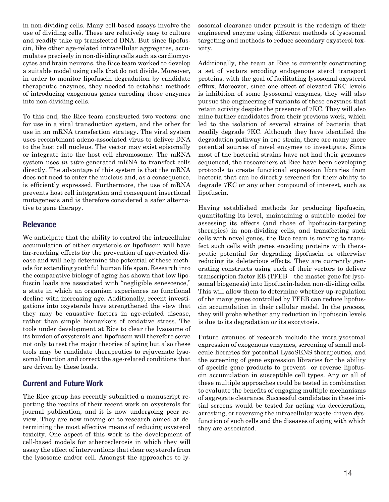in non-dividing cells. Many cell-based assays involve the use of dividing cells. These are relatively easy to culture and readily take up transfected DNA. But since lipofuscin, like other age-related intracellular aggregates, accumulates precisely in non-dividing cells such as cardiomyocytes and brain neurons, the Rice team worked to develop a suitable model using cells that do not divide. Moreover, in order to monitor lipofuscin degradation by candidate therapeutic enzymes, they needed to establish methods of introducing exogenous genes encoding those enzymes into non-dividing cells.

To this end, the Rice team constructed two vectors: one for use in a viral transduction system, and the other for use in an mRNA transfection strategy. The viral system uses recombinant adeno-associated virus to deliver DNA to the host cell nucleus. The vector may exist episomally or integrate into the host cell chromosome. The mRNA system uses *in vitro*-generated mRNA to transfect cells directly. The advantage of this system is that the mRNA does not need to enter the nucleus and, as a consequence, is efficiently expressed. Furthermore, the use of mRNA prevents host cell integration and consequent insertional mutagenesis and is therefore considered a safer alternative to gene therapy.

#### **Relevance**

We anticipate that the ability to control the intracellular accumulation of either oxysterols or lipofuscin will have far-reaching effects for the prevention of age-related disease and will help determine the potential of these methods for extending youthful human life span. Research into the comparative biology of aging has shown that low lipofuscin loads are associated with "negligible senescence," a state in which an organism experiences no functional decline with increasing age. Additionally, recent investigations into oxysterols have strengthened the view that they may be causative factors in age-related disease, rather than simple biomarkers of oxidative stress. The tools under development at Rice to clear the lysosome of its burden of oxysterols and lipofuscin will therefore serve not only to test the major theories of aging but also these tools may be candidate therapeutics to rejuvenate lysosomal function and correct the age-related conditions that are driven by these loads.

#### **Current and Future Work**

The Rice group has recently submitted a manuscript reporting the results of their recent work on oxysterols for journal publication, and it is now undergoing peer review. They are now moving on to research aimed at determining the most effective means of reducing oxysterol toxicity. One aspect of this work is the development of cell-based models for atherosclerosis in which they will assay the effect of interventions that clear oxysterols from the lysosome and/or cell. Amongst the approaches to lysosomal clearance under pursuit is the redesign of their engineered enzyme using different methods of lysosomal targeting and methods to reduce secondary oxysterol toxicity.

Additionally, the team at Rice is currently constructing a set of vectors encoding endogenous sterol transport proteins, with the goal of facilitating lysosomal oxysterol efflux. Moreover, since one effect of elevated 7KC levels is inhibition of some lysosomal enzymes, they will also pursue the engineering of variants of these enzymes that retain activity despite the presence of 7KC. They will also mine further candidates from their previous work, which led to the isolation of several strains of bacteria that readily degrade 7KC. Although they have identified the degradation pathway in one strain, there are many more potential sources of novel enzymes to investigate. Since most of the bacterial strains have not had their genomes sequenced, the researchers at Rice have been developing protocols to create functional expression libraries from bacteria that can be directly screened for their ability to degrade 7KC or any other compound of interest, such as lipofuscin.

Having established methods for producing lipofuscin, quantitating its level, maintaining a suitable model for assessing its effects (and those of lipofuscin-targeting therapies) in non-dividing cells, and transfecting such cells with novel genes, the Rice team is moving to transfect such cells with genes encoding proteins with therapeutic potential for degrading lipofuscin or otherwise reducing its deleterious effects. They are currently generating constructs using each of their vectors to deliver transcription factor EB (TFEB – the master gene for lysosomal biogenesis) into lipofuscin-laden non-dividing cells. This will allow them to determine whether up-regulation of the many genes controlled by TFEB can reduce lipofuscin accumulation in their cellular model. In the process, they will probe whether any reduction in lipofuscin levels is due to its degradation or its exocytosis.

Future avenues of research include the intralysosomal expression of exogenous enzymes, screening of small molecule libraries for potential LysoSENS therapeutics, and the screening of gene expression libraries for the ability of specific gene products to prevent or reverse lipofuscin accumulation in susceptible cell types. Any or all of these multiple approaches could be tested in combination to evaluate the benefits of engaging multiple mechanisms of aggregate clearance. Successful candidates in these initial screens would be tested for acting via deceleration, arresting, or reversing the intracellular waste-driven dysfunction of such cells and the diseases of aging with which they are associated.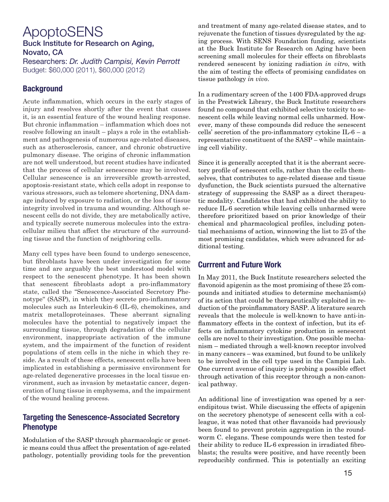#### ApoptoSENS Buck Institute for Research on Aging, Novato, CA

Researchers: *Dr. Judith Campisi, Kevin Perrott* Budget: \$60,000 (2011), \$60,000 (2012)

#### **Background**

Acute inflammation, which occurs in the early stages of injury and resolves shortly after the event that causes it, is an essential feature of the wound healing response. But chronic inflammation – inflammation which does not resolve following an insult – plays a role in the establishment and pathogenesis of numerous age-related diseases, such as atherosclerosis, cancer, and chronic obstructive pulmonary disease. The origins of chronic inflammation are not well understood, but recent studies have indicated that the process of cellular senescence may be involved. Cellular senescence is an irreversible growth-arrested, apoptosis-resistant state, which cells adopt in response to various stressors, such as telomere shortening, DNA damage induced by exposure to radiation, or the loss of tissue integrity involved in trauma and wounding. Although senescent cells do not divide, they are metabolically active, and typically secrete numerous molecules into the extracellular milieu that affect the structure of the surrounding tissue and the function of neighboring cells.

Many cell types have been found to undergo senescence, but fibroblasts have been under investigation for some time and are arguably the best understood model with respect to the senescent phenotype. It has been shown that senescent fibroblasts adopt a pro-inflammatory state, called the "Senescence-Associated Secretory Phenotype" (SASP), in which they secrete pro-inflammatory molecules such as Interleukin-6 (IL-6), chemokines, and matrix metalloproteinases. These aberrant signaling molecules have the potential to negatively impact the surrounding tissue, through degradation of the cellular environment, inappropriate activation of the immune system, and the impairment of the function of resident populations of stem cells in the niche in which they reside. As a result of these effects, senescent cells have been implicated in establishing a permissive environment for age-related degenerative processes in the local tissue environment, such as invasion by metastatic cancer, degeneration of lung tissue in emphysema, and the impairment of the wound healing process.

#### **Targeting the Senescence-Associated Secretory Phenotype**

Modulation of the SASP through pharmacologic or genetic means could thus affect the presentation of age-related pathology, potentially providing tools for the prevention and treatment of many age-related disease states, and to rejuvenate the function of tissues dysregulated by the aging process. With SENS Foundation funding, scientists at the Buck Institute for Research on Aging have been screening small molecules for their effects on fibroblasts rendered senescent by ionizing radiation *in vitro*, with the aim of testing the effects of promising candidates on tissue pathology *in vivo*.

In a rudimentary screen of the 1400 FDA-approved drugs in the Prestwick Library, the Buck Institute researchers found no compound that exhibited selective toxicity to senescent cells while leaving normal cells unharmed. However, many of these compounds did reduce the senescent cells' secretion of the pro-inflammatory cytokine IL-6 – a representative constituent of the SASP – while maintaining cell viability.

Since it is generally accepted that it is the aberrant secretory profile of senescent cells, rather than the cells themselves, that contributes to age-related disease and tissue dysfunction, the Buck scientists pursued the alternative strategy of suppressing the SASP as a direct therapeutic modality. Candidates that had exhibited the ability to reduce IL-6 secretion while leaving cells unharmed were therefore prioritized based on prior knowledge of their chemical and pharmacological profiles, including potential mechanisms of action, winnowing the list to 25 of the most promising candidates, which were advanced for additional testing.

#### **Currrent and Future Work**

In May 2011, the Buck Institute researchers selected the flavonoid apigenin as the most promising of these 25 compounds and initiated studies to determine mechanism(s) of its action that could be therapeutically exploited in reduction of the proinflammatory SASP. A literature search reveals that the molecule is well-known to have anti-inflammatory effects in the context of infection, but its effects on inflammatory cytokine production in senescent cells are novel to their investigation. One possible mechanism – mediated through a well-known receptor involved in many cancers – was examined, but found to be unlikely to be involved in the cell type used in the Campisi Lab. One current avenue of inquiry is probing a possible effect through activation of this receptor through a non-canonical pathway.

An additional line of investigation was opened by a serendipitous twist. While discussing the effects of apigenin on the secretory phenotype of senescent cells with a colleague, it was noted that other flavanoids had previously been found to prevent protein aggregation in the roundworm C. elegans. These compounds were then tested for their ability to reduce IL-6 expression in irradiated fibroblasts; the results were positive, and have recently been reproducibly confirmed. This is potentially an exciting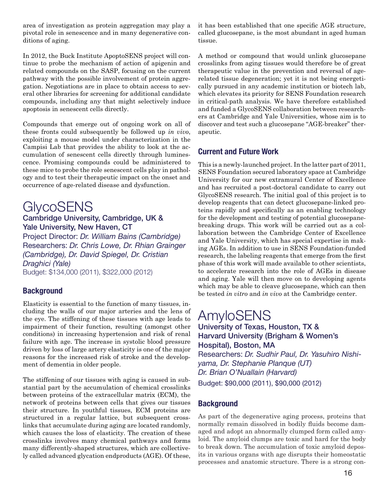area of investigation as protein aggregation may play a pivotal role in senescence and in many degenerative conditions of aging.

In 2012, the Buck Institute ApoptoSENS project will continue to probe the mechanism of action of apigenin and related compounds on the SASP, focusing on the current pathway with the possible involvement of protein aggregation. Negotiations are in place to obtain access to several other libraries for screening for additional candidate compounds, including any that might selectively induce apoptosis in senescent cells directly.

Compounds that emerge out of ongoing work on all of these fronts could subsequently be followed up *in vivo*, exploiting a mouse model under characterization in the Campisi Lab that provides the ability to look at the accumulation of senescent cells directly through luminescence. Promising compounds could be administered to these mice to probe the role senescent cells play in pathology and to test their therapeutic impact on the onset and occurrence of age-related disease and dysfunction.

### **GlycoSENS**

#### Cambridge University, Cambridge, UK & Yale University, New Haven, CT

Project Director: *Dr. William Bains (Cambridge)* Researchers: *Dr. Chris Lowe, Dr. Rhian Grainger (Cambridge), Dr. David Spiegel, Dr. Cristian Draghici (Yale)* Budget: \$134,000 (2011), \$322,000 (2012)

#### **Background**

Elasticity is essential to the function of many tissues, including the walls of our major arteries and the lens of the eye. The stiffening of these tissues with age leads to impairment of their function, resulting (amongst other conditions) in increasing hypertension and risk of renal failure with age. The increase in systolic blood pressure driven by loss of large artery elasticity is one of the major reasons for the increased risk of stroke and the development of dementia in older people.

The stiffening of our tissues with aging is caused in substantial part by the accumulation of chemical crosslinks between proteins of the extracellular matrix (ECM), the network of proteins between cells that gives our tissues their structure. In youthful tissues, ECM proteins are structured in a regular lattice, but subsequent crosslinks that accumulate during aging are located randomly, which causes the loss of elasticity. The creation of these crosslinks involves many chemical pathways and forms many differently-shaped structures, which are collectively called advanced glycation endproducts (AGE). Of these, it has been established that one specific AGE structure, called glucosepane, is the most abundant in aged human tissue.

A method or compound that would unlink glucosepane crosslinks from aging tissues would therefore be of great therapeutic value in the prevention and reversal of agerelated tissue degeneration; yet it is not being energetically pursued in any academic institution or biotech lab, which elevates its priority for SENS Foundation research in critical-path analysis. We have therefore established and funded a GlycoSENS collaboration between researchers at Cambridge and Yale Universities, whose aim is to discover and test such a glucosepane "AGE-breaker" therapeutic.

#### **Current and Future Work**

This is a newly-launched project. In the latter part of 2011, SENS Foundation secured laboratory space at Cambridge University for our new extramural Center of Excellence and has recruited a post-doctoral candidate to carry out GlycoSENS research. The initial goal of this project is to develop reagents that can detect glucosepane-linked proteins rapidly and specifically as an enabling technology for the development and testing of potential glucosepanebreaking drugs. This work will be carried out as a collaboration between the Cambridge Center of Excellence and Yale University, which has special expertise in making AGEs. In addition to use in SENS Foundation-funded research, the labeling reagents that emerge from the first phase of this work will made available to other scientists, to accelerate research into the role of AGEs in disease and aging. Yale will then move on to developing agents which may be able to cleave glucosepane, which can then be tested *in vitro* and *in vivo* at the Cambridge center.

#### AmyloSENS University of Texas, Houston, TX & Harvard University (Brigham & Women's Hospital), Boston, MA Researchers: *Dr. Sudhir Paul, Dr. Yasuhiro Nishiyama, Dr. Stephanie Planque (UT)*

*Dr. Brian O'Nuallain (Harvard)*

#### Budget: \$90,000 (2011), \$90,000 (2012)

#### **Background**

As part of the degenerative aging process, proteins that normally remain dissolved in bodily fluids become damaged and adopt an abnormally clumped form called amyloid. The amyloid clumps are toxic and hard for the body to break down. The accumulation of toxic amyloid deposits in various organs with age disrupts their homeostatic processes and anatomic structure. There is a strong con-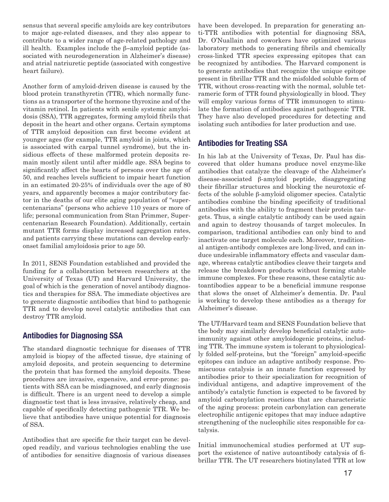sensus that several specific amyloids are key contributors to major age-related diseases, and they also appear to contribute to a wider range of age-related pathology and ill health. Examples include the β-amyloid peptide (associated with neurodegeneration in Alzheimer's disease) and atrial natriuretic peptide (associated with congestive heart failure).

Another form of amyloid-driven disease is caused by the blood protein transthyretin (TTR), which normally functions as a transporter of the hormone thyroxine and of the vitamin retinol. In patients with senile systemic amyloidosis (SSA), TTR aggregates, forming amyloid fibrils that deposit in the heart and other organs. Certain symptoms of TTR amyloid deposition can first become evident at younger ages (for example, TTR amyloid in joints, which is associated with carpal tunnel syndrome), but the insidious effects of these malformed protein deposits remain mostly silent until after middle age. SSA begins to significantly affect the hearts of persons over the age of 50, and reaches levels sufficient to impair heart function in an estimated 20-25% of individuals over the age of 80 years, and apparently becomes a major contributory factor in the deaths of our elite aging population of "supercentenarians" (persons who achieve 110 years or more of life; personal communication from Stan Primmer, Supercentenarian Research Foundation). Additionally, certain mutant TTR forms display increased aggregation rates, and patients carrying these mutations can develop earlyonset familial amyloidosis prior to age 50.

In 2011, SENS Foundation established and provided the funding for a collaboration between researchers at the University of Texas (UT) and Harvard University, the goal of which is the generation of novel antibody diagnostics and therapies for SSA. The immediate objectives are to generate diagnostic antibodies that bind to pathogenic TTR and to develop novel catalytic antibodies that can destroy TTR amyloid.

#### **Antibodies for Diagnosing SSA**

The standard diagnostic technique for diseases of TTR amyloid is biopsy of the affected tissue, dye staining of amyloid deposits, and protein sequencing to determine the protein that has formed the amyloid deposits. These procedures are invasive, expensive, and error-prone: patients with SSA can be misdiagnosed, and early diagnosis is difficult. There is an urgent need to develop a simple diagnostic test that is less invasive, relatively cheap, and capable of specifically detecting pathogenic TTR. We believe that antibodies have unique potential for diagnosis of SSA.

Antibodies that are specific for their target can be developed readily, and various technologies enabling the use of antibodies for sensitive diagnosis of various diseases have been developed. In preparation for generating anti-TTR antibodies with potential for diagnosing SSA, Dr. O'Nuallain and coworkers have optimized various laboratory methods to generating fibrils and chemically cross-linked TTR species expressing epitopes that can be recognized by antibodies. The Harvard component is to generate antibodies that recognize the unique epitope present in fibrillar TTR and the misfolded soluble form of TTR, without cross-reacting with the normal, soluble tetrameric form of TTR found physiologically in blood. They will employ various forms of TTR immunogen to stimulate the formation of antibodies against pathogenic TTR. They have also developed procedures for detecting and isolating such antibodies for later production and use.

#### **Antibodies for Treating SSA**

In his lab at the University of Texas, Dr. Paul has discovered that older humans produce novel enzyme-like antibodies that catalyze the cleavage of the Alzheimer's disease-associated β-amyloid peptide, disaggregating their fibrillar structures and blocking the neurotoxic effects of the soluble β-amyloid oligomer species. Catalytic antibodies combine the binding specificity of traditional antibodies with the ability to fragment their protein targets. Thus, a single catalytic antibody can be used again and again to destroy thousands of target molecules. In comparison, traditional antibodies can only bind to and inactivate one target molecule each. Moreover, traditional antigen-antibody complexes are long-lived, and can induce undesirable inflammatory effects and vascular damage, whereas catalytic antibodies cleave their targets and release the breakdown products without forming stable immune complexes. For these reasons, these catalytic autoantibodies appear to be a beneficial immune response that slows the onset of Alzheimer's dementia. Dr. Paul is working to develop these antibodies as a therapy for Alzheimer's disease.

The UT/Harvard team and SENS Foundation believe that the body may similarly develop beneficial catalytic autoimmunity against other amyloidogenic proteins, including TTR. The immune system is tolerant to physiologically folded self-proteins, but the "foreign" amyloid-specific epitopes can induce an adaptive antibody response. Promiscuous catalysis is an innate function expressed by antibodies prior to their specialization for recognition of individual antigens, and adaptive improvement of the antibody's catalytic function is expected to be favored by amyloid carbonylation reactions that are characteristic of the aging process: protein carbonylation can generate electrophilic antigenic epitopes that may induce adaptive strengthening of the nucleophilic sites responsible for catalysis.

Initial immunochemical studies performed at UT support the existence of native autoantibody catalysis of fibrillar TTR. The UT researchers biotinylated TTR at low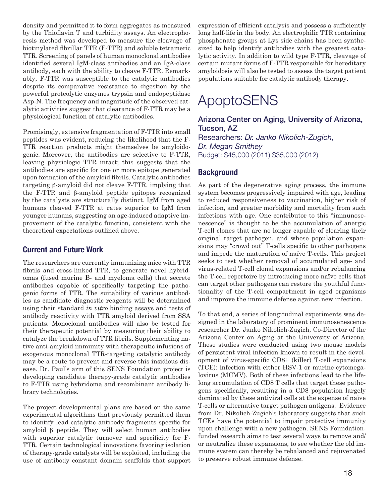density and permitted it to form aggregates as measured by the Thioflavin T and turbidity assays. An electrophoresis method was developed to measure the cleavage of biotinylated fibrillar TTR (F-TTR) and soluble tetrameric TTR. Screening of panels of human monoclonal antibodies identified several IgM-class antibodies and an IgA-class antibody, each with the ability to cleave F-TTR. Remarkably, F-TTR was susceptible to the catalytic antibodies despite its comparative resistance to digestion by the powerful proteolytic enzymes trypsin and endopeptidase Asp-N. The frequency and magnitude of the observed catalytic activities suggest that clearance of F-TTR may be a physiological function of catalytic antibodies.

Promisingly, extensive fragmentation of F-TTR into small peptides was evident, reducing the likelihood that the F-TTR reaction products might themselves be amyloidogenic. Moreover, the antibodies are selective to F-TTR, leaving physiologic TTR intact; this suggests that the antibodies are specific for one or more epitope generated upon formation of the amyloid fibrils. Catalytic antibodies targeting β-amyloid did not cleave F-TTR, implying that the F-TTR and β-amyloid peptide epitopes recognized by the catalysts are structurally distinct. IgM from aged humans cleaved F-TTR at rates superior to IgM from younger humans, suggesting an age-induced adaptive improvement of the catalytic function, consistent with the theoretical expectations outlined above.

#### **Current and Future Work**

The researchers are currently immunizing mice with TTR fibrils and cross-linked TTR, to generate novel hybridomas (fused murine B- and myeloma cells) that secrete antibodies capable of specifically targeting the pathogenic forms of TTR. The suitability of various antibodies as candidate diagnostic reagents will be determined using their standard *in vitro* binding assays and tests of antibody reactivity with TTR amyloid derived from SSA patients. Monoclonal antibodies will also be tested for their therapeutic potential by measuring their ability to catalyze the breakdown of TTR fibrils. Supplementing native anti-amyloid immunity with therapeutic infusions of exogenous monoclonal TTR-targeting catalytic antibody may be a route to prevent and reverse this insidious disease. Dr. Paul's arm of this SENS Foundation project is developing candidate therapy-grade catalytic antibodies to F-TTR using hybridoma and recombinant antibody library technologies.

The project developmental plans are based on the same experimental algorithms that previously permitted them to identify lead catalytic antibody fragments specific for amyloid β peptide. They will select human antibodies with superior catalytic turnover and specificity for F-TTR. Certain technological innovations favoring isolation of therapy-grade catalysts will be exploited, including the use of antibody constant domain scaffolds that support

expression of efficient catalysis and possess a sufficiently long half-life in the body. An electrophilic TTR containing phosphonate groups at Lys side chains has been synthesized to help identify antibodies with the greatest catalytic activity. In addition to wild type F-TTR, cleavage of certain mutant forms of F-TTR responsible for hereditary amyloidosis will also be tested to assess the target patient populations suitable for catalytic antibody therapy.

### ApoptoSENS

Arizona Center on Aging, University of Arizona, Tucson, AZ Researchers: *Dr. Janko Nikolich-Zugich, Dr. Megan Smithey* Budget: \$45,000 (2011) \$35,000 (2012)

#### **Background**

As part of the degenerative aging process, the immune system becomes progressively impaired with age, leading to reduced responsiveness to vaccination, higher risk of infection, and greater morbidity and mortality from such infections with age. One contributor to this "immunosenescence" is thought to be the accumulation of anergic T-cell clones that are no longer capable of clearing their original target pathogen, and whose population expansions may "crowd out" T-cells specific to other pathogens and impede the maturation of naïve T-cells. This project seeks to test whether removal of accumulated age- and virus-related T-cell clonal expansions and/or rebalancing the T-cell repertoire by introducing more naïve cells that can target other pathogens can restore the youthful functionality of the T-cell compartment in aged organisms and improve the immune defense against new infection.

To that end, a series of longitudinal experiments was designed in the laboratory of prominent immunosenescence researcher Dr. Janko Nikolich-Zugich, Co-Director of the Arizona Center on Aging at the University of Arizona. These studies were conducted using two mouse models of persistent viral infection known to result in the development of virus-specific CD8+ (killer) T-cell expansions (TCE): infection with either HSV-1 or murine cytomegalovirus (MCMV). Both of these infections lead to the lifelong accumulation of CD8 T cells that target these pathogens specifically, resulting in a CD8 population largely dominated by these antiviral cells at the expense of naïve T-cells or alternative target pathogen antigens. Evidence from Dr. Nikolich-Zugich's laboratory suggests that such TCEs have the potential to impair protective immunity upon challenge with a new pathogen. SENS Foundationfunded research aims to test several ways to remove and/ or neutralize these expansions, to see whether the old immune system can thereby be rebalanced and rejuvenated to preserve robust immune defense.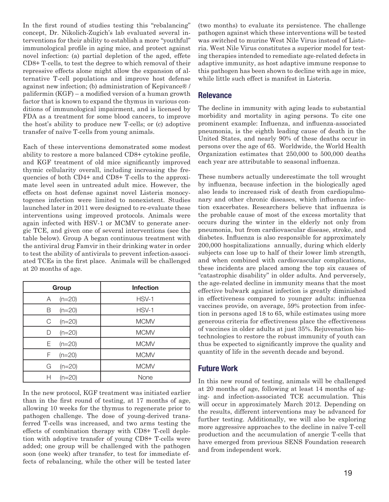In the first round of studies testing this "rebalancing" concept, Dr. Nikolich-Zugich's lab evaluated several interventions for their ability to establish a more "youthful" immunological profile in aging mice, and protect against novel infection: (a) partial depletion of the aged, effete CD8+ T-cells, to test the degree to which removal of their repressive effects alone might allow the expansion of alternative T-cell populations and improve host defense against new infection; (b) administration of Kepivance® / palifermin (KGF) – a modified version of a human growth factor that is known to expand the thymus in various conditions of immunological impairment, and is licensed by FDA as a treatment for some blood cancers, to improve the host's ability to produce new T-cells; or (c) adoptive transfer of naïve T-cells from young animals.

Each of these interventions demonstrated some modest ability to restore a more balanced CD8+ cytokine profile, and KGF treatment of old mice significantly improved thymic cellularity overall, including increasing the frequencies of both CD4+ and CD8+ T-cells to the approximate level seen in untreated adult mice. However, the effects on host defense against novel Listeria monocytogenes infection were limited to nonexistent. Studies launched later in 2011 were designed to re-evaluate these interventions using improved protocols. Animals were again infected with HSV-1 or MCMV to generate anergic TCE, and given one of several interventions (see the table below). Group A began continuous treatment with the antiviral drug Famvir in their drinking water in order to test the ability of antivirals to prevent infection-associated TCEs in the first place. Animals will be challenged at 20 months of age.

| Group          | <b>Infection</b> |
|----------------|------------------|
| $(n=20)$<br>Α  | HSV-1            |
| $(n=20)$<br>В  | HSV-1            |
| C<br>$(n=20)$  | <b>MCMV</b>      |
| $(n=20)$<br>D  | <b>MCMV</b>      |
| $(n=20)$<br>E. | <b>MCMV</b>      |
| $(n=20)$<br>F  | <b>MCMV</b>      |
| G<br>$(n=20)$  | <b>MCMV</b>      |
| $(n=20)$<br>н  | None             |

In the new protocol, KGF treatment was initiated earlier than in the first round of testing, at 17 months of age, allowing 10 weeks for the thymus to regenerate prior to pathogen challenge. The dose of young-derived transferred T-cells was increased, and two arms testing the effects of combination therapy with CD8+ T-cell depletion with adoptive transfer of young CD8+ T-cells were added; one group will be challenged with the pathogen soon (one week) after transfer, to test for immediate effects of rebalancing, while the other will be tested later (two months) to evaluate its persistence. The challenge pathogen against which these interventions will be tested was switched to murine West Nile Virus instead of Listeria. West Nile Virus constitutes a superior model for testing therapies intended to remediate age-related defects in adaptive immunity, as host adaptive immune response to this pathogen has been shown to decline with age in mice, while little such effect is manifest in Listeria.

#### **Relevance**

The decline in immunity with aging leads to substantial morbidity and mortality in aging persons. To cite one prominent example: Influenza, and influenza-associated pneumonia, is the eighth leading cause of death in the United States, and nearly 90% of these deaths occur in persons over the age of 65. Worldwide, the World Health Organization estimates that 250,000 to 500,000 deaths each year are attributable to seasonal influenza.

These numbers actually underestimate the toll wrought by influenza, because infection in the biologically aged also leads to increased risk of death from cardiopulmonary and other chronic diseases, which influenza infection exacerbates. Researchers believe that influenza is the probable cause of most of the excess mortality that occurs during the winter in the elderly not only from pneumonia, but from cardiovascular disease, stroke, and diabetes. Influenza is also responsible for approximately 200,000 hospitalizations annually, during which elderly subjects can lose up to half of their lower limb strength, and when combined with cardiovascular complications, these incidents are placed among the top six causes of "catastrophic disability" in older adults. And perversely, the age-related decline in immunity means that the most effective bulwark against infection is greatly diminished in effectiveness compared to younger adults: influenza vaccines provide, on average, 59% protection from infection in persons aged 18 to 65, while estimates using more generous criteria for effectiveness place the effectiveness of vaccines in older adults at just 35%. Rejuvenation biotechnologies to restore the robust immunity of youth can thus be expected to significantly improve the quality and quantity of life in the seventh decade and beyond.

#### **Future Work**

In this new round of testing, animals will be challenged at 20 months of age, following at least 14 months of aging- and infection-associated TCE accumulation. This will occur in approximately March 2012. Depending on the results, different interventions may be advanced for further testing. Additionally, we will also be exploring more aggressive approaches to the decline in naïve T-cell production and the accumulation of anergic T-cells that have emerged from previous SENS Foundation research and from independent work.